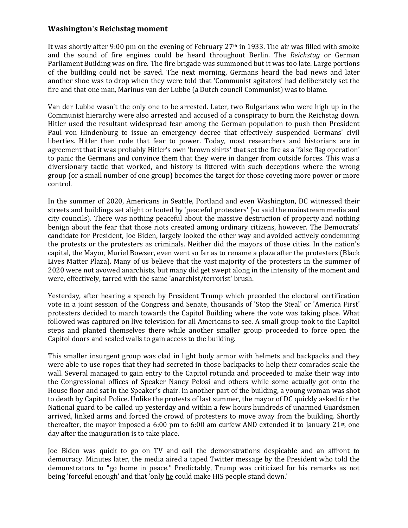## **Washington's Reichstag moment**

It was shortly after 9:00 pm on the evening of February  $27<sup>th</sup>$  in 1933. The air was filled with smoke and the sound of fire engines could be heard throughout Berlin. The *Reichstag* or German Parliament Building was on fire. The fire brigade was summoned but it was too late. Large portions of the building could not be saved. The next morning, Germans heard the bad news and later another shoe was to drop when they were told that 'Communist agitators' had deliberately set the fire and that one man, Marinus van der Lubbe (a Dutch council Communist) was to blame.

Van der Lubbe wasn't the only one to be arrested. Later, two Bulgarians who were high up in the Communist hierarchy were also arrested and accused of a conspiracy to burn the Reichstag down. Hitler used the resultant widespread fear among the German population to push then President Paul von Hindenburg to issue an emergency decree that effectively suspended Germans' civil liberties. Hitler then rode that fear to power. Today, most researchers and historians are in agreement that it was probably Hitler's own 'brown shirts' that set the fire as a 'false flag operation' to panic the Germans and convince them that they were in danger from outside forces. This was a diversionary tactic that worked, and history is littered with such deceptions where the wrong group (or a small number of one group) becomes the target for those coveting more power or more control.

In the summer of 2020, Americans in Seattle, Portland and even Washington, DC witnessed their streets and buildings set alight or looted by 'peaceful protesters' (so said the mainstream media and city councils). There was nothing peaceful about the massive destruction of property and nothing benign about the fear that those riots created among ordinary citizens, however. The Democrats' candidate for President, Joe Biden, largely looked the other way and avoided actively condemning the protests or the protesters as criminals. Neither did the mayors of those cities. In the nation's capital, the Mayor, Muriel Bowser, even went so far as to rename a plaza after the protesters (Black Lives Matter Plaza). Many of us believe that the vast majority of the protesters in the summer of 2020 were not avowed anarchists, but many did get swept along in the intensity of the moment and were, effectively, tarred with the same 'anarchist/terrorist' brush.

Yesterday, after hearing a speech by President Trump which preceded the electoral certification vote in a joint session of the Congress and Senate, thousands of 'Stop the Steal' or 'America First' protesters decided to march towards the Capitol Building where the vote was taking place. What followed was captured on live television for all Americans to see. A small group took to the Capitol steps and planted themselves there while another smaller group proceeded to force open the Capitol doors and scaled walls to gain access to the building.

This smaller insurgent group was clad in light body armor with helmets and backpacks and they were able to use ropes that they had secreted in those backpacks to help their comrades scale the wall. Several managed to gain entry to the Capitol rotunda and proceeded to make their way into the Congressional offices of Speaker Nancy Pelosi and others while some actually got onto the House floor and sat in the Speaker's chair. In another part of the building, a young woman was shot to death by Capitol Police. Unlike the protests of last summer, the mayor of DC quickly asked for the National guard to be called up yesterday and within a few hours hundreds of unarmed Guardsmen arrived, linked arms and forced the crowd of protesters to move away from the building. Shortly thereafter, the mayor imposed a 6:00 pm to 6:00 am curfew AND extended it to January  $21^{st}$ , one day after the inauguration is to take place.

Joe Biden was quick to go on TV and call the demonstrations despicable and an affront to democracy. Minutes later, the media aired a taped Twitter message by the President who told the demonstrators to "go home in peace." Predictably, Trump was criticized for his remarks as not being 'forceful enough' and that 'only he could make HIS people stand down.'